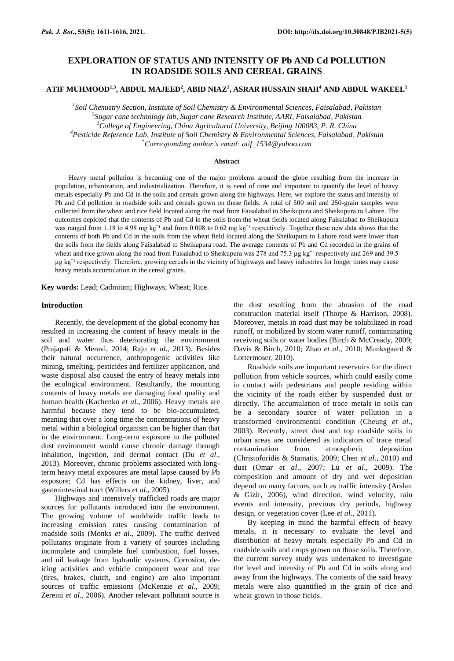# **EXPLORATION OF STATUS AND INTENSITY OF Pb AND Cd POLLUTION IN ROADSIDE SOILS AND CEREAL GRAINS**

**ATIF MUHMOOD1,3, ABDUL MAJEED<sup>2</sup> , ABID NIAZ<sup>1</sup> , ASRAR HUSSAIN SHAH<sup>4</sup> AND ABDUL WAKEEL 1**

 *Soil Chemistry Section, Institute of Soil Chemistry & Environmental Sciences, Faisalabad, Pakistan Sugar cane technology lab, Sugar cane Research Institute, AARI, Faisalabad, Pakistan College of Engineering, China Agricultural University, Beijing 100083, P. R. China Pesticide Reference Lab, Institute of Soil Chemistry & Environmental Sciences, Faisalabad, Pakistan* \**Corresponding author's email: [atif\\_1534@yahoo.com](mailto:atif_1534@yahoo.com)*

#### **Abstract**

Heavy metal pollution is becoming one of the major problems around the globe resulting from the increase in population, urbanization, and industrialization. Therefore, it is need of time and important to quantify the level of heavy metals especially Pb and Cd in the soils and cereals grown along the highways. Here, we explore the status and intensity of Pb and Cd pollution in roadside soils and cereals grown on these fields. A total of 500 soil and 250-grain samples were collected from the wheat and rice field located along the road from Faisalabad to Sheikupura and Sheikupura to Lahore. The outcomes depicted that the contents of Pb and Cd in the soils from the wheat fields located along Faisalabad to Sheikupura was ranged from 1.18 to 4.98 mg kg<sup>-1</sup> and from 0.008 to 0.62 mg kg<sup>-1</sup> respectively. Together these new data shows that the contents of both Pb and Cd in the soils from the wheat field located along the Sheikupura to Lahore road were lower than the soils from the fields along Faisalabad to Sheikupura road. The average contents of Pb and Cd recorded in the grains of wheat and rice grown along the road from Faisalabad to Sheikupura was 278 and 75.3 µg kg<sup>-1</sup> respectively and 269 and 39.5 µg kg<sup>-1</sup> respectively. Therefore, growing cereals in the vicinity of highways and heavy industries for longer times may cause heavy metals accumulation in the cereal grains.

**Key words:** Lead; Cadmium; Highways; Wheat; Rice.

#### **Introduction**

Recently, the development of the global economy has resulted in increasing the content of heavy metals in the soil and water thus deteriorating the environment (Prajapati & Meravi, 2014; Raju *et al*., 2013). Besides their natural occurrence, anthropogenic activities like mining, smelting, pesticides and fertilizer application, and waste disposal also caused the entry of heavy metals into the ecological environment. Resultantly, the mounting contents of heavy metals are damaging food quality and human health (Kachenko *et al*., 2006). Heavy metals are harmful because they tend to be bio-accumulated, meaning that over a long time the concentrations of heavy metal within a biological organism can be higher than that in the environment. Long-term exposure to the polluted dust environment would cause chronic damage through inhalation, ingestion, and dermal contact (Du *et al*., 2013). Moreover, chronic problems associated with longterm heavy metal exposures are metal lapse caused by Pb exposure; Cd has effects on the kidney, liver, and gastrointestinal tract (Willers *et al*., 2005).

Highways and intensively trafficked roads are major sources for pollutants introduced into the environment. The growing volume of worldwide traffic leads to increasing emission rates causing contamination of roadside soils (Monks *et al*., 2009). The traffic derived pollutants originate from a variety of sources including incomplete and complete fuel combustion, fuel losses, and oil leakage from hydraulic systems. Corrosion, deicing activities and vehicle component wear and tear (tires, brakes, clutch, and engine) are also important sources of traffic emissions (McKenzie *et al*., 2009; Zereini *et al*., 2006). Another relevant pollutant source is

the dust resulting from the abrasion of the road construction material itself (Thorpe & Harrison, 2008). Moreover, metals in road dust may be solubilized in road runoff, or mobilized by storm water runoff, contaminating receiving soils or water bodies (Birch & McCready, 2009; Davis & Birch, 2010; Zhao *et al*., 2010; Munksgaard & Lottermoser, 2010).

Roadside soils are important reservoirs for the direct pollution from vehicle sources, which could easily come in contact with pedestrians and people residing within the vicinity of the roads either by suspended dust or directly. The accumulation of trace metals in soils can be a secondary source of water pollution in a transformed environmental condition (Cheung *et al*., 2003). Recently, street dust and top roadside soils in urban areas are considered as indicators of trace metal contamination from atmospheric deposition (Christoforidis & Stamatis, 2009; Chen *et al*., 2010) and dust (Omar *et al*., 2007; Lu *et al*., 2009). The composition and amount of dry and wet deposition depend on many factors, such as traffic intensity (Arslan & Gizir, 2006), wind direction, wind velocity, rain events and intensity, previous dry periods, highway design, or vegetation cover (Lee *et al*., 2011).

By keeping in mind the harmful effects of heavy metals, it is necessary to evaluate the level and distribution of heavy metals especially Pb and Cd in roadside soils and crops grown on those soils. Therefore, the current survey study was undertaken to investigate the level and intensity of Pb and Cd in soils along and away from the highways. The contents of the said heavy metals were also quantified in the grain of rice and wheat grown in those fields.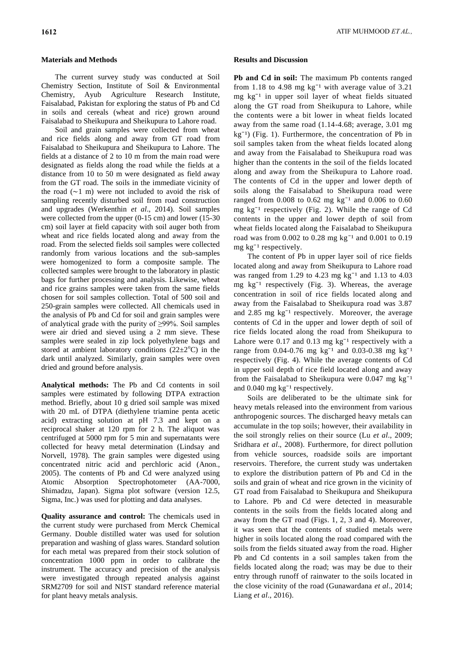# **Materials and Methods**

The current survey study was conducted at Soil Chemistry Section, Institute of Soil & Environmental Chemistry, Ayub Agriculture Research Institute, Faisalabad, Pakistan for exploring the status of Pb and Cd in soils and cereals (wheat and rice) grown around Faisalabad to Sheikupura and Sheikupura to Lahore road.

Soil and grain samples were collected from wheat and rice fields along and away from GT road from Faisalabad to Sheikupura and Sheikupura to Lahore. The fields at a distance of 2 to 10 m from the main road were designated as fields along the road while the fields at a distance from 10 to 50 m were designated as field away from the GT road. The soils in the immediate vicinity of the road (∼1 m) were not included to avoid the risk of sampling recently disturbed soil from road construction and upgrades (Werkenthin *et al*., 2014). Soil samples were collected from the upper (0-15 cm) and lower (15-30 cm) soil layer at field capacity with soil auger both from wheat and rice fields located along and away from the road. From the selected fields soil samples were collected randomly from various locations and the sub-samples were homogenized to form a composite sample. The collected samples were brought to the laboratory in plastic bags for further processing and analysis. Likewise, wheat and rice grains samples were taken from the same fields chosen for soil samples collection. Total of 500 soil and 250-grain samples were collected. All chemicals used in the analysis of Pb and Cd for soil and grain samples were of analytical grade with the purity of ≥99%. Soil samples were air dried and sieved using a 2 mm sieve. These samples were sealed in zip lock polyethylene bags and stored at ambient laboratory conditions  $(22\pm2^{\circ}\text{C})$  in the dark until analyzed. Similarly, grain samples were oven dried and ground before analysis.

**Analytical methods:** The Pb and Cd contents in soil samples were estimated by following DTPA extraction method. Briefly, about 10 g dried soil sample was mixed with 20 mL of DTPA (diethylene triamine penta acetic acid) extracting solution at pH 7.3 and kept on a reciprocal shaker at 120 rpm for 2 h. The aliquot was centrifuged at 5000 rpm for 5 min and supernatants were collected for heavy metal determination (Lindsay and Norvell, 1978). The grain samples were digested using concentrated nitric acid and perchloric acid (Anon., 2005). The contents of Pb and Cd were analyzed using Atomic Absorption Spectrophotometer (AA-7000, Shimadzu, Japan). Sigma plot software (version 12.5, Sigma, Inc.) was used for plotting and data analyses.

**Quality assurance and control:** The chemicals used in the current study were purchased from Merck Chemical Germany. Double distilled water was used for solution preparation and washing of glass wares. Standard solution for each metal was prepared from their stock solution of concentration 1000 ppm in order to calibrate the instrument. The accuracy and precision of the analysis were investigated through repeated analysis against SRM2709 for soil and NIST standard reference material for plant heavy metals analysis.

# **Results and Discussion**

Pb and Cd in soil: The maximum Pb contents ranged from 1.18 to 4.98 mg  $kg^{-1}$  with average value of 3.21 mg  $kg^{-1}$  in upper soil layer of wheat fields situated along the GT road from Sheikupura to Lahore, while the contents were a bit lower in wheat fields located away from the same road (1.14-4.68; average, 3.01 mg  $kg^{-1}$ ) (Fig. 1). Furthermore, the concentration of Pb in soil samples taken from the wheat fields located along and away from the Faisalabad to Sheikupura road was higher than the contents in the soil of the fields located along and away from the Sheikupura to Lahore road. The contents of Cd in the upper and lower depth of soils along the Faisalabad to Sheikupura road were ranged from  $0.008$  to  $0.62$  mg kg<sup>-1</sup> and  $0.006$  to  $0.60$ mg  $kg^{-1}$  respectively (Fig. 2). While the range of Cd contents in the upper and lower depth of soil from wheat fields located along the Faisalabad to Sheikupura road was from  $0.002$  to  $0.28$  mg kg<sup>-1</sup> and  $0.001$  to  $0.19$ mg  $kg^{-1}$  respectively.

The content of Pb in upper layer soil of rice fields located along and away from Sheikupura to Lahore road was ranged from 1.29 to 4.23 mg  $kg^{-1}$  and 1.13 to 4.03 mg  $kg^{-1}$  respectively (Fig. 3). Whereas, the average concentration in soil of rice fields located along and away from the Faisalabad to Sheikupura road was 3.87 and  $2.85$  mg kg<sup>-1</sup> respectively. Moreover, the average contents of Cd in the upper and lower depth of soil of rice fields located along the road from Sheikupura to Lahore were  $0.17$  and  $0.13$  mg kg<sup>-1</sup> respectively with a range from 0.04-0.76 mg  $kg^{-1}$  and 0.03-0.38 mg  $kg^{-1}$ respectively (Fig. 4). While the average contents of Cd in upper soil depth of rice field located along and away from the Faisalabad to Sheikupura were  $0.047$  mg kg<sup>-1</sup> and  $0.040$  mg kg<sup>-1</sup> respectively.

Soils are deliberated to be the ultimate sink for heavy metals released into the environment from various anthropogenic sources. The discharged heavy metals can accumulate in the top soils; however, their availability in the soil strongly relies on their source (Lu *et al*., 2009; Sridhara *et al*., 2008). Furthermore, for direct pollution from vehicle sources, roadside soils are important reservoirs. Therefore, the current study was undertaken to explore the distribution pattern of Pb and Cd in the soils and grain of wheat and rice grown in the vicinity of GT road from Faisalabad to Sheikupura and Sheikupura to Lahore. Pb and Cd were detected in measurable contents in the soils from the fields located along and away from the GT road (Figs. 1, 2, 3 and 4). Moreover, it was seen that the contents of studied metals were higher in soils located along the road compared with the soils from the fields situated away from the road. Higher Pb and Cd contents in a soil samples taken from the fields located along the road; was may be due to their entry through runoff of rainwater to the soils located in the close vicinity of the road (Gunawardana *et al*., 2014; Liang *et al*., 2016).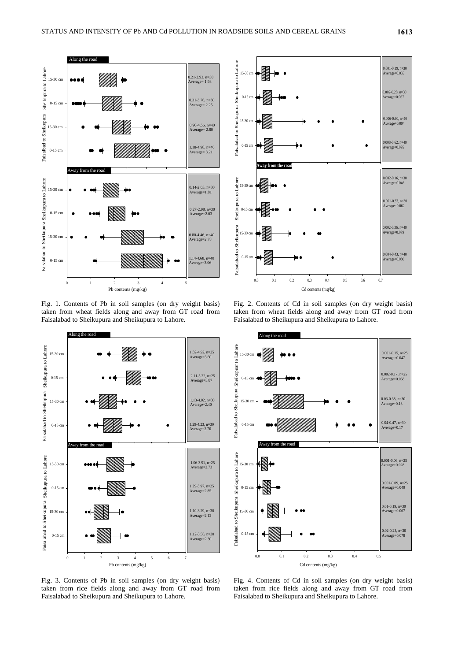

Fig. 1. Contents of Pb in soil samples (on dry weight basis) taken from wheat fields along and away from GT road from Faisalabad to Sheikupura and Sheikupura to Lahore.



Fig. 3. Contents of Pb in soil samples (on dry weight basis) taken from rice fields along and away from GT road from Faisalabad to Sheikupura and Sheikupura to Lahore.



Fig. 2. Contents of Cd in soil samples (on dry weight basis) taken from wheat fields along and away from GT road from Faisalabad to Sheikupura and Sheikupura to Lahore.



Fig. 4. Contents of Cd in soil samples (on dry weight basis) taken from rice fields along and away from GT road from Faisalabad to Sheikupura and Sheikupura to Lahore.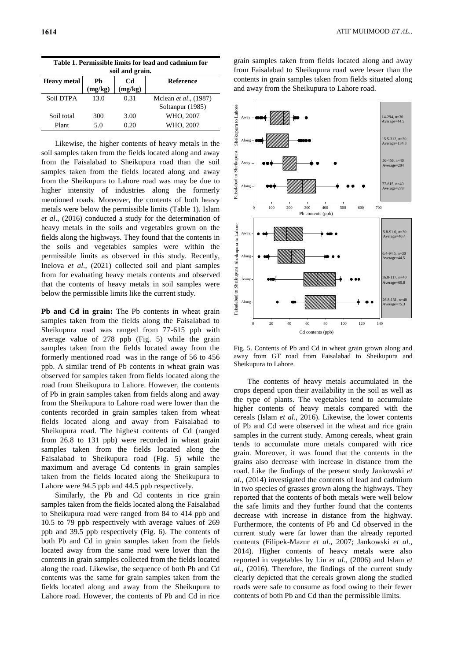| Table 1. Permissible limits for lead and cadmium for<br>soil and grain. |               |               |                       |
|-------------------------------------------------------------------------|---------------|---------------|-----------------------|
| <b>Heavy metal</b>                                                      | Ph<br>(mg/kg) | Cd<br>(mg/kg) | <b>Reference</b>      |
| Soil DTPA                                                               | 13.0          | 0.31          | Mclean et al., (1987) |
|                                                                         |               |               | Soltanpur (1985)      |
| Soil total                                                              | 300           | 3.00          | WHO, 2007             |
| Plant                                                                   | 5.0           | 0.20          | WHO, 2007             |

Likewise, the higher contents of heavy metals in the soil samples taken from the fields located along and away from the Faisalabad to Sheikupura road than the soil samples taken from the fields located along and away from the Sheikupura to Lahore road was may be due to higher intensity of industries along the formerly mentioned roads. Moreover, the contents of both heavy metals were below the permissible limits (Table 1). Islam *et al*., (2016) conducted a study for the determination of heavy metals in the soils and vegetables grown on the fields along the highways. They found that the contents in the soils and vegetables samples were within the permissible limits as observed in this study. Recently, Inelova *et al*., (2021) collected soil and plant samples from for evaluating heavy metals contents and observed that the contents of heavy metals in soil samples were below the permissible limits like the current study.

**Pb and Cd in grain:** The Pb contents in wheat grain samples taken from the fields along the Faisalabad to Sheikupura road was ranged from 77-615 ppb with average value of 278 ppb (Fig. 5) while the grain samples taken from the fields located away from the formerly mentioned road was in the range of 56 to 456 ppb. A similar trend of Pb contents in wheat grain was observed for samples taken from fields located along the road from Sheikupura to Lahore. However, the contents of Pb in grain samples taken from fields along and away from the Sheikupura to Lahore road were lower than the contents recorded in grain samples taken from wheat fields located along and away from Faisalabad to Sheikupura road. The highest contents of Cd (ranged from 26.8 to 131 ppb) were recorded in wheat grain samples taken from the fields located along the Faisalabad to Sheikupura road (Fig. 5) while the maximum and average Cd contents in grain samples taken from the fields located along the Sheikupura to Lahore were 94.5 ppb and 44.5 ppb respectively.

Similarly, the Pb and Cd contents in rice grain samples taken from the fields located along the Faisalabad to Sheikupura road were ranged from 84 to 414 ppb and 10.5 to 79 ppb respectively with average values of 269 ppb and 39.5 ppb respectively (Fig. 6). The contents of both Pb and Cd in grain samples taken from the fields located away from the same road were lower than the contents in grain samples collected from the fields located along the road. Likewise, the sequence of both Pb and Cd contents was the same for grain samples taken from the fields located along and away from the Sheikupura to Lahore road. However, the contents of Pb and Cd in rice

grain samples taken from fields located along and away from Faisalabad to Sheikupura road were lesser than the contents in grain samples taken from fields situated along and away from the Sheikupura to Lahore road.



Fig. 5. Contents of Pb and Cd in wheat grain grown along and away from GT road from Faisalabad to Sheikupura and Sheikupura to Lahore.

The contents of heavy metals accumulated in the crops depend upon their availability in the soil as well as the type of plants. The vegetables tend to accumulate higher contents of heavy metals compared with the cereals (Islam *et al*., 2016). Likewise, the lower contents of Pb and Cd were observed in the wheat and rice grain samples in the current study. Among cereals, wheat grain tends to accumulate more metals compared with rice grain. Moreover, it was found that the contents in the grains also decrease with increase in distance from the road. Like the findings of the present study Jankowski *et al*., (2014) investigated the contents of lead and cadmium in two species of grasses grown along the highways. They reported that the contents of both metals were well below the safe limits and they further found that the contents decrease with increase in distance from the highway. Furthermore, the contents of Pb and Cd observed in the current study were far lower than the already reported contents (Filipek-Mazur *et al*., 2007; Jankowski *et al*., 2014). Higher contents of heavy metals were also reported in vegetables by Liu *et al*., (2006) and Islam *et al*., (2016). Therefore, the findings of the current study clearly depicted that the cereals grown along the studied roads were safe to consume as food owing to their fewer contents of both Pb and Cd than the permissible limits.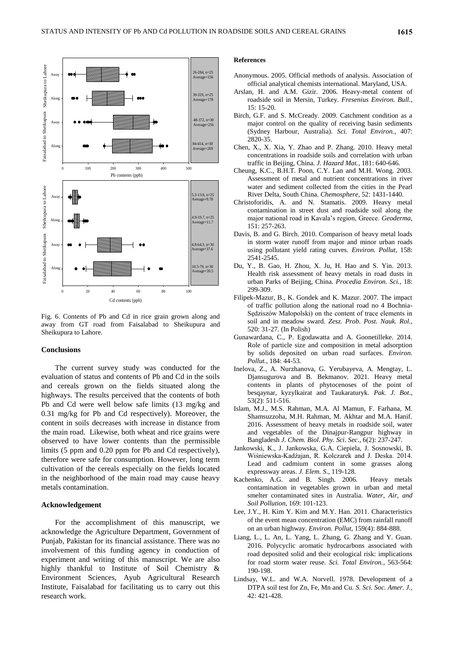

Fig. 6. Contents of Pb and Cd in rice grain grown along and away from GT road from Faisalabad to Sheikupura and Sheikupura to Lahore.

### **Conclusions**

The current survey study was conducted for the evaluation of status and contents of Pb and Cd in the soils and cereals grown on the fields situated along the highways. The results perceived that the contents of both Pb and Cd were well below safe limits (13 mg/kg and 0.31 mg/kg for Pb and Cd respectively). Moreover, the content in soils decreases with increase in distance from the main road. Likewise, both wheat and rice grains were observed to have lower contents than the permissible limits (5 ppm and 0.20 ppm for Pb and Cd respectively), therefore were safe for consumption. However, long term cultivation of the cereals especially on the fields located in the neighborhood of the main road may cause heavy metals contamination.

### **Acknowledgement**

For the accomplishment of this manuscript, we acknowledge the Agriculture Department, Government of Punjab, Pakistan for its financial assistance. There was no involvement of this funding agency in conduction of experiment and writing of this manuscript. We are also highly thankful to Institute of Soil Chemistry & Environment Sciences, Ayub Agricultural Research Institute, Faisalabad for facilitating us to carry out this research work.

# **References**

- Anonymous. 2005. Official methods of analysis. Association of official analytical chemists international. Maryland, USA.
- Arslan, H. and A.M. Gizir. 2006. Heavy-metal content of roadside soil in Mersin, Turkey. *Fresenius Environ. Bull.*, 15: 15-20.
- Birch, G.F. and S. McCready. 2009. Catchment condition as a major control on the quality of receiving basin sediments (Sydney Harbour, Australia). *Sci. Total Environ.*, 407: 2820-35.
- Chen, X., X. Xia, Y. Zhao and P. Zhang. 2010. Heavy metal concentrations in roadside soils and correlation with urban traffic in Beijing, China. *J. Hazard Mat.*, 181: 640-646.
- Cheung, K.C., B.H.T. Poon, C.Y. Lan and M.H. Wong. 2003. Assessment of metal and nutrient concentrations in river water and sediment collected from the cities in the Pearl River Delta, South China. *Chemosphere*, 52: 1431-1440.
- Christoforidis, A. and N. Stamatis. 2009. Heavy metal contamination in street dust and roadside soil along the major national road in Kavala's region, Greece. *Geoderma*, 151: 257-263.
- Davis, B. and G. Birch. 2010. Comparison of heavy metal loads in storm water runoff from major and minor urban roads using pollutant yield rating curves. *Environ. Pollut*, 158: 2541-2545.
- Du, Y., B. Gao, H. Zhou, X. Ju, H. Hao and S. Yin. 2013. Health risk assessment of heavy metals in road dusts in urban Parks of Beijing, China. *Procedia Environ. Sci.*, 18: 299-309.
- Filipek-Mazur, B., K. Gondek and K. Mazur. 2007. The impact of traffic pollution along the national road no 4 Bochnia-Sędziszów Małopolski) on the content of trace elements in soil and in meadow sward. *Zesz. Prob. Post. Nauk. Rol.*, 520: 31-27. (In Polish)
- Gunawardana, C., P. Egodawatta and A. Goonetilleke. 2014. Role of particle size and composition in metal adsorption by solids deposited on urban road surfaces. *Environ. Pollut.,* 184: 44-53.
- Inelova, Z., A. Nurzhanova, G. Yerubayeva, A. Mengtay, L. Djansugurova and B. Bekmanov. 2021. Heavy metal contents in plants of phytocenoses of the point of besqaynar, kyzylkairat and Taukaraturyk. *Pak. J. Bot*., 53(2): 511-516.
- Islam, M.J., M.S. Rahman, M.A. Al Mamun, F. Farhana, M. Shamsuzzoha, M.H. Rahman, M. Akhtar and M.A. Hanif. 2016. Assessment of heavy metals in roadside soil, water and vegetables of the Dinajpur-Rangpur highway in Bangladesh *J. Chem. Biol. Phy. Sci. Sec*., 6(2): 237-247.
- Jankowski, K., J. Jankowska, G.A. Ciepiela, J. Sosnowski, B. Wiśniewska-Kadźajan, R. Kolczarek and J. Deska. 2014. Lead and cadmium content in some grasses along expressway areas. *J. Elem. S*.*,* 119-128.
- Kachenko, A.G. and B. Singh. 2006. Heavy metals contamination in vegetables grown in urban and metal smelter contaminated sites in Australia. *Water, Air, and Soil Pollution*, 169: 101-123.
- Lee, J.Y., H. Kim Y. Kim and M.Y. Han. 2011. Characteristics of the event mean concentration (EMC) from rainfall runoff on an urban highway. *Environ. Pollut*, 159(4): 884-888.
- Liang, L., L. An, L. Yang, L. Zhang, G. Zhang and Y. Guan. 2016. Polycyclic aromatic hydrocarbons associated with road deposited solid and their ecological risk: implications for road storm water reuse. *Sci. Total Environ.*, 563-564: 190-198.
- Lindsay, W.L. and W.A. Norvell. 1978. Development of a DTPA soil test for Zn, Fe, Mn and Cu. *S. Sci. Soc. Amer. J.*, 42: 421-428.